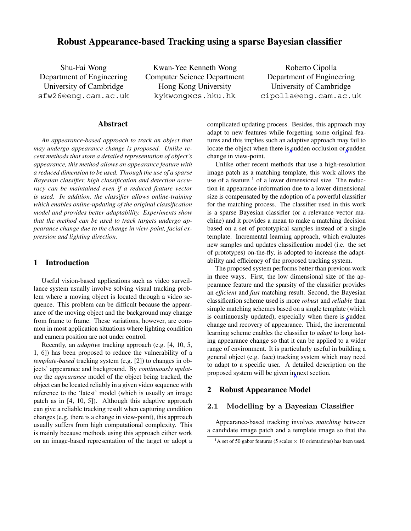# **Robust Appearance-based Tracking using a sparse Bayesian classifier**

Shu-Fai Wong Department of Engineering University of Cambridge sfw26@eng.cam.ac.uk

Kwan-Yee Kenneth Wong Computer Science Department Hong Kong University kykwong@cs.hku.hk

Roberto Cipolla Department of Engineering University of Cambridge cipolla@eng.cam.ac.uk

#### **Abstract**

*An appearance-based approach to track an object that may undergo appearance change is proposed. Unlike recent methods that store a detailed representation of object's appearance, this method allows an appearance feature with a reduced dimension to be used. Through the use of a sparse Bayesian classifier, high classification and detection accuracy can be maintained even if a reduced feature vector is used. In addition, the classifier allows online-training which enables online-updating of the original classification model and provides better adaptability. Experiments show that the method can be used to track targets undergo appearance change due to the change in view-point, facial expression and lighting direction.*

### **1 Introduction**

Useful vision-based applications such as video surveillance system usually involve solving visual tracking problem where a moving object is located through a video sequence. This problem can be difficult because the appearance of the moving object and the background may change from frame to frame. These variations, however, are common in most application situations where lighting condition and camera position are not under control.

Recently, an *adaptive* tracking approach (e.g. [4, 10, 5, 1, 6]) has been proposed to reduce the vulnerability of a *template-based* tracking system (e.g. [2]) to changes in objects' appearance and background. By *continuously updating* the *appearance* model of the object being tracked, the object can be located reliably in a given video sequence with reference to the 'latest' model (which is usually an image patch as in [4, 10, 5]). Although this adaptive approach can give a reliable tracking result when capturing condition changes (e.g. there is a change in view-point), this approach usually suffers from high computational complexity. This is mainly because methods using this approach either work on an image-based representation of the target or adopt a

complicated updating process. Besides, this approach may adapt to new features while forgetting some original features and this implies such an adaptive approach may fail to locate the object when there is sudden occlusion or sudden change in view-point.

Unlike other recent methods that use a high-resolution image patch as a matching template, this work allows the use of a feature  $1$  of a lower dimensional size. The reduction in appearance information due to a lower dimensional size is compensated by the adoption of a powerful classifier for the matching process. The classifier used in this work is a sparse Bayesian classifier (or a relevance vector machine) and it provides a mean to make a matching decision based on a set of prototypical samples instead of a single template. Incremental learning approach, which evaluates new samples and updates classification model (i.e. the set of prototypes) on-the-fly, is adopted to increase the adaptability and efficiency of the proposed tracking system.

The proposed system performs better than previous work in three ways. First, the low dimensional size of the appearance feature and the sparsity of the classifier provides an *efficient* and *fast* matching result. Second, the Bayesian classification scheme used is more *robust* and *reliable* than simple matching schemes based on a single template (which is continuously updated), especially when there is sudden change and recovery of appearance. Third, the incremental learning scheme enables the classifier to *adapt* to long lasting appearance change so that it can be applied to a wider range of environment. It is particularly useful in building a general object (e.g. face) tracking system which may need to adapt to a specific user. A detailed description on the proposed system will be given in next section.

## **2 Robust Appearance Model**

## **2.1 Modelling by a Bayesian Classifier**

Appearance-based tracking involves *matching* between a candidate image patch and a template image so that the

<sup>&</sup>lt;sup>1</sup>A set of 50 gabor features (5 scales  $\times$  10 orientations) has been used.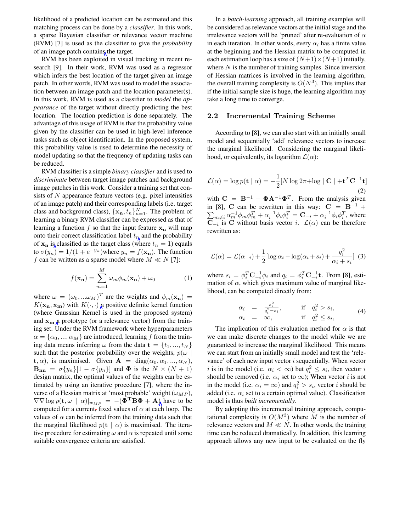likelihood of a predicted location can be estimated and this matching process can be done by a *classifier*. In this work, a sparse Bayesian classifier or relevance vector machine (RVM) [7] is used as the classifier to give the *probability* of an image patch contains the target.

RVM has been exploited in visual tracking in recent research [9]. In their work, RVM was used as a regressor which infers the best location of the target given an image patch. In other words, RVM was used to model the association between an image patch and the location parameter(s). In this work, RVM is used as a classifier to *model* the *appearance* of the target without directly predicting the best location. The location prediction is done separately. The advantage of this usage of RVM is that the probability value given by the classifier can be used in high-level inference tasks such as object identification. In the proposed system, this probability value is used to determine the necessity of model updating so that the frequency of updating tasks can be reduced.

RVM classifier is a simple *binary classifier* and is used to *discriminate* between target image patches and background image patches in this work. Consider a training set that consists of  $N$  appearance feature vectors (e.g. pixel intensities of an image patch) and their corresponding labels (i.e. target class and background class),  $\{x_n, t_n\}_{n=1}^N$ . The problem of learning a binary RVM classifier can be expressed as that of learning a function f so that the input feature  $\mathbf{x}_n$  will map onto their correct classification label  $t_n$  and the probability of  $\mathbf{x}_n$  is classified as the target class (where  $t_n = 1$ ) equals to  $\sigma(y_n)=1/(1 + e^{-y_n})$ where  $y_n = f(\mathbf{x_n})$ . The function f can be written as a sparse model where  $M \ll N$  [7]:

$$
f(\mathbf{x_n}) = \sum_{m=1}^{M} \omega_m \phi_m(\mathbf{x_n}) + \omega_0 \tag{1}
$$

where  $\omega = (\omega_0, \dots \omega_M)^T$  are the weights and  $\phi_m(\mathbf{x}_n)$  $K(\mathbf{x}_n, \mathbf{x}_m)$  with  $K(\cdot, \cdot)$  a positive definite kernel function (where Gaussian Kernel is used in the proposed system) and  $\mathbf{x}_{\mathbf{m}}$  a prototype (or a relevance vector) from the training set. Under the RVM framework where hyperparameters  $\alpha = {\alpha_0, ..., \alpha_M}$  are introduced, learning f from the training data means inferring  $\omega$  from the data  $\mathbf{t} = \{t_1, ..., t_N\}$ such that the posterior probability over the weights,  $p(\omega)$ **t**,  $\alpha$ ), is maximised. Given **A** = diag( $\alpha_0, \alpha_1, ..., \alpha_N$ ),  $\mathbf{B}_{nn} = \sigma \{y_n\}$ [1 –  $\sigma \{y_n\}$ ] and  $\Phi$  is the  $N \times (N+1)$ design matrix, the optimal values of the weights can be estimated by using an iterative procedure [7], where the inverse of a Hessian matrix at 'most probable' weight  $(\omega_{MP})$ ,  $\nabla \nabla \log p(\mathbf{t}, \omega \mid \alpha)|_{w_{MP}} = -(\mathbf{\Phi}^T \mathbf{B} \mathbf{\Phi} + \mathbf{A})$  have to be computed for a current, fixed values of  $\alpha$  at each loop. The computed for a current, fixed values of  $\alpha$  at each loop. The values of  $\alpha$  can be inferred from the training data such that the marginal likelihood  $p(\mathbf{t} \mid \alpha)$  is maximised. The iterative procedure for estimating  $\omega$  and  $\alpha$  is repeated until some suitable convergence criteria are satisfied.

In a *batch-learning* approach, all training examples will be considered as relevance vectors at the initial stage and the irrelevance vectors will be 'pruned' after re-evaluation of  $\alpha$ in each iteration. In other words, every  $\alpha_i$  has a finite value at the beginning and the Hessian matrix to be computed in each estimation loop has a size of  $(N+1)\times(N+1)$  initially, where  $N$  is the number of training samples. Since inversion of Hessian matrices is involved in the learning algorithm, the overall training complexity is  $O(N^3)$ . This implies that if the initial sample size is huge, the learning algorithm may take a long time to converge.

#### **2.2 Incremental Training Scheme**

According to [8], we can also start with an initially small model and sequentially 'add' relevance vectors to increase the marginal likelihood. Considering the marginal likelihood, or equivalently, its logarithm  $\mathcal{L}(\alpha)$ :

$$
\mathcal{L}(\alpha) = \log p(\mathbf{t} \mid \alpha) = -\frac{1}{2} [N \log 2\pi + \log |\mathbf{C}| + \mathbf{t}^T \mathbf{C}^{-1} \mathbf{t}]
$$
\n(2)

with  $C = B^{-1} + \Phi A^{-1} \Phi^{T}$ . From the analysis given  $\sum_{m\neq i} \alpha_m^{-1} \phi_m \phi_m^T + \alpha_i^{-1} \phi_i \phi_i^T = \mathbf{C}_{-i} + \alpha_i^{-1} \phi_i \phi_i^T$ , where  $\mathbf{C}_{-i}$  is  $\mathbf{C}_{-i}$  without basis vector  $i = \mathcal{C}(\alpha)$  can be therefore in [8], **C** can be rewritten in this way:  $C = B^{-1}$  +  $\overline{\mathbf{C}}_{-i}$  is  $\overline{\mathbf{C}}$  without basis vector *i.*  $\mathcal{L}(\alpha)$  can be therefore rewritten as:

$$
\mathcal{L}(\alpha) = \mathcal{L}(\alpha_{-i}) + \frac{1}{2} [\log \alpha_i - \log(\alpha_i + s_i) + \frac{q_i^2}{\alpha_i + s_i}] \tag{3}
$$

where  $s_i = \phi_i^T \mathbf{C}_{-i}^{-1} \phi_i$  and  $q_i = \phi_i^T \mathbf{C}_{-i}^{-1} \mathbf{t}$ . From [8], esti-<br>mation of  $\alpha$  which gives maximum value of marginal likemation of  $\alpha$ , which gives maximum value of marginal likelihood, can be computed directly from:

$$
\alpha_i = \frac{s_i^2}{q_i^2 - s_i}, \quad \text{if} \quad q_i^2 > s_i, \n\alpha_i = \infty, \quad \text{if} \quad q_i^2 \le s_i,
$$
\n(4)

The implication of this evaluation method for  $\alpha$  is that we can make discrete changes to the model while we are guaranteed to increase the marginal likelihood. This means we can start from an initially small model and test the 'relevance' of each new input vector  $i$  sequentially. When vector *i* is in the model (i.e.  $\alpha_i < \infty$ ) but  $q_i^2 \leq s_i$ , then vector *i* should be removed (i.e.  $\alpha_i$  set to  $\infty$ ); When vector *i* is not in the model (i.e.  $\alpha_i = \infty$ ) and  $q_i^2 > s_i$ , vector *i* should be added (i.e.  $\alpha_i$  set to a certain optimal value). Classification added (i.e.  $\alpha_i$  set to a certain optimal value). Classification model is thus *built incrementally*.

By adopting this incremental training approach, computational complexity is  $O(M^3)$  where M is the number of relevance vectors and  $M \ll N$ . In other words, the training time can be reduced dramatically. In addition, this learning approach allows any new input to be evaluated on the fly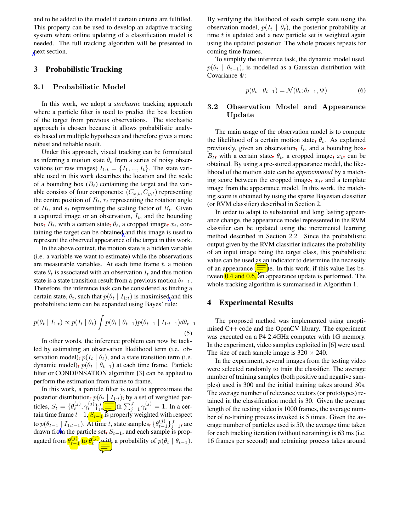and to be added to the model if certain criteria are fulfilled. This property can be used to develop an adaptive tracking system where online updating of a classification model is needed. The full tracking algorithm will be presented in next section.

# **3 Probabilistic Tracking**

#### **3.1 Probabilistic Model**

In this work, we adopt a *stochastic* tracking approach where a particle filter is used to predict the best location of the target from previous observations. The stochastic approach is chosen because it allows probabilistic analysis based on multiple hypotheses and therefore gives a more robust and reliable result.

Under this approach, visual tracking can be formulated as inferring a motion state  $\theta_t$  from a series of noisy observations (or raw images)  $I_{1:t} = \{I_1, ..., I_t\}$ . The state variable used in this work describes the location and the scale of a bounding box  $(B_t)$  containing the target and the variable consists of four components: (C*x,t*, C*y,t*) representing the centre position of  $B_t$ ,  $r_t$  representing the rotation angle of  $B_t$ , and  $s_t$  representing the scaling factor of  $B_t$ . Given a captured image or an observation, I*t*, and the bounding box,  $B_t$ , with a certain state,  $\theta_t$ , a cropped image,  $x_t$ , containing the target can be obtained and this image is used to represent the observed appearance of the target in this work.

In the above context, the motion state is a hidden variable (i.e. a variable we want to estimate) while the observations are measurable variables. At each time frame  $t$ , a motion state  $\theta_t$  is associated with an observation  $I_t$  and this motion state is a state transition result from a previous motion  $\theta_{t-1}$ . Therefore, the inference task can be considered as finding a certain state,  $\theta_t$ , such that  $p(\theta_t | I_{1:t})$  is maximised and this probabilistic term can be expanded using Bayes' rule:

$$
p(\theta_t | I_{1:t}) \propto p(I_t | \theta_t) \int p(\theta_t | \theta_{t-1}) p(\theta_{t-1} | I_{1:t-1}) d\theta_{t-1}
$$
\n(5)

In other words, the inference problem can now be tackled by estimating an observation likelihood term (i.e. observation model),  $p(I_t | \theta_t)$ , and a state transition term (i.e. dynamic model),  $p(\theta_t | \theta_{t-1})$  at each time frame. Particle filter or CONDENSATION algorithm [3] can be applied to perform the estimation from frame to frame.

In this work, a particle filter is used to approximate the posterior distribution,  $p(\theta_t | I_{1:t})$ , by a set of weighted particles,  $S_t = \{\theta_t^{(j)}, \gamma_t^{(j)}\} \frac{J}{J} = \text{th} \sum_{j=1}^J \gamma_t^{(j)} = 1$ . In a cer-<br>tain time frame  $t-1$ ,  $S_t$ , is properly weighted with respect tain time frame  $t-1$ ,  $S_t-1$  is properly weighted with respect<br>to  $x(t) = |t-1|$ , Attima t, at the complex  $[(0^{(j)})]_t$ to  $p(\theta_{t-1} | I_{1:t-1})$ . At time t, state samples,  $\{\theta_{t-1}^{(j)}\}_{j=1}^J$ , are drawn from the particle set. Such and each sample is propdrawn from the particle set, <sup>S</sup>*<sup>t</sup>*−<sup>1</sup>, and each sample is propagated from  $\theta_{t-1}^{(j)}$  to  $\theta_t^{(j)}$  with a probability of  $p(\theta_t | \theta_{t-1})$ .

By verifying the likelihood of each sample state using the observation model,  $p(I_t | \theta_t)$ , the posterior probability at time  $t$  is updated and a new particle set is weighted again using the updated posterior. The whole process repeats for coming time frames.

To simplify the inference task, the dynamic model used,  $p(\theta_t | \theta_{t-1})$ , is modelled as a Gaussian distribution with Covariance Ψ:

$$
p(\theta_t \mid \theta_{t-1}) = \mathcal{N}(\theta_t; \theta_{t-1}, \Psi)
$$
\n(6)

# **3.2 Observation Model and Appearance Update**

The main usage of the observation model is to compute the likelihood of a certain motion state,  $\theta_t$ . As explained previously, given an observation,  $I_t$ , and a bounding box,  $B_t$ , with a certain state,  $\theta_t$ , a cropped image,  $x_t$ , can be obtained. By using a pre-stored appearance model, the likelihood of the motion state can be *approximated* by a matching score between the cropped image,  $x_t$ , and a template image from the appearance model. In this work, the matching score is obtained by using the sparse Bayesian classifier (or RVM classifier) described in Section 2.

In order to adapt to substantial and long lasting appearance change, the appearance model represented in the RVM classifier can be updated using the incremental learning method described in Section 2.2. Since the probabilistic output given by the RVM classifier indicates the probability of an input image being the target class, this probabilistic value can be used as an indicator to determine the necessity of an appearance  $\equiv$  te. In this work, if this value lies between **0.4 and 0.6,** an appearance update is performed. The whole tracking algorithm is summarised in Algorithm 1.

# **4 Experimental Results**

The proposed method was implemented using unoptimised C++ code and the OpenCV library. The experiment was executed on a P4 2.4GHz computer with 1G memory. In the experiment, video samples exploited in [6] were used. The size of each sample image is  $320 \times 240$ .

In the experiment, several images from the testing video were selected randomly to train the classifier. The average number of training samples (both positive and negative samples) used is 300 and the initial training takes around 30s. The average number of relevance vectors (or prototypes) retained in the classification model is 30. Given the average length of the testing video is 1000 frames, the average number of re-training process invoked is 5 times. Given the average number of particles used is 50, the average time taken for each tracking iteration (without retraining) is 63 ms (i.e. 16 frames per second) and retraining process takes around